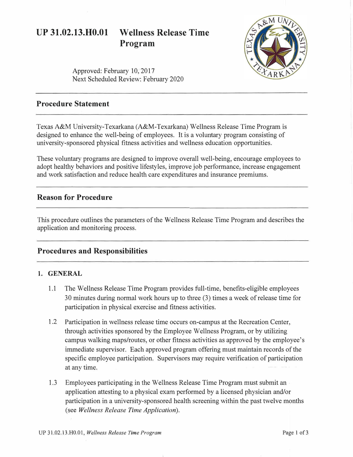# **UP 31.02.13.H0.01 Wellness Release Time Program**



Approved: February 10, 2017 Next Scheduled Review: February 2020

# **Procedure Statement**

Texas A&M University-Texarkana (A&M-Texarkana) Wellness Release Time Program is designed to enhance the well-being of employees. It is a voluntary program consisting of university-sponsored physical fitness activities and wellness education opportunities.

These voluntary programs are designed to improve overall well-being, encourage employees to adopt healthy behaviors and positive lifestyles, improve job performance, increase engagement and work satisfaction and reduce health care expenditures and insurance premiums.

## **Reason for Procedure**

This procedure outlines the parameters of the Wellness Release Time Program and describes the application and monitoring process.

### **Procedures and Responsibilities**

#### **1. GENERAL**

- 1.1 The Wellness Release Time Program provides full-time, benefits-eligible employees 30 minutes during normal work hours up to three (3) times a week ofrelease time for participation in physical exercise and fitness activities.
- 1.2 Participation in wellness release time occurs on-campus at the Recreation Center, through activities sponsored by the Employee Wellness Program, or by utilizing campus walking maps/routes, or other fitness activities as approved by the employee's immediate supervisor. Each approved program offering must maintain records of the specific employee participation. Supervisors may require verification of participation at any time.
- 1.3 Employees participating in the Wellness Release Time Program must submit an application attesting to a physical exam performed by a licensed physician and/or participation in a university-sponsored health screening within the past twelve months (see *Wellness Release Time Application).*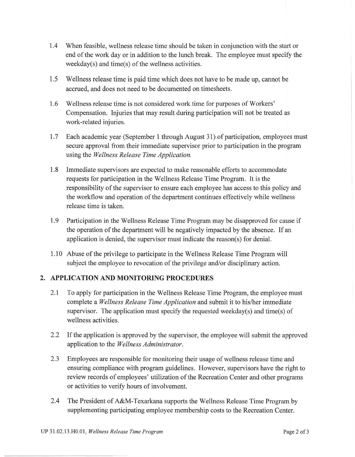- 1.4 When feasible, wellness release time should be taken in conjunction with the start or end of the work day or in addition to the lunch break. The employee must specify the weekday(s) and time(s) of the wellness activities.
- 1.5 Wellness release time is paid time which does not have to be made up, cannot be accrued, and does not need to be documented on timesheets.
- 1.6 Wellness release time is not considered work time for purposes of Workers' Compensation. Injuries that may result during participation will not be treated as work-related injuries.
- 1.7 Each academic year (September 1 through August 31) of participation, employees must secure approval from their immediate supervisor prior to participation in the program using the *Wellness Release Time Application.*
- 1.8 Immediate supervisors are expected to make reasonable efforts to accommodate requests for participation in the Wellness Release Time Program. It is the responsibility of the supervisor to ensure each employee has access to this policy and the workflow and operation of the department continues effectively while wellness release time is taken.
- 1.9 Participation in the Wellness Release Time Program may be disapproved for cause if the operation of the department will be negatively impacted by the absence. If an application is denied, the supervisor must indicate the reason(s) for denial.
- 1.10 Abuse of the privilege to participate in the Wellness Release Time Program will subject the employee to revocation of the privilege and/or disciplinary action.

#### **2. APPLICATION AND MONITORING PROCEDURES**

- 2.1 To apply for participation in the Wellness Release Time Program, the employee must complete a *Wellness Release Time Application* and submit it to his/her immediate supervisor. The application must specify the requested weekday(s) and time(s) of wellness activities.
- 2.2 If the application is approved by the supervisor, the employee will submit the approved application to the *Wellness Administrator.*
- 2.3 Employees are responsible for monitoring their usage of wellness release time and ensuring compliance with program guidelines. However, supervisors have the right to review records of employees' utilization of the Recreation Center and other programs or activities to verify hours of involvement.
- 2.4 The President of A&M-Texarkana supports the Wellness Release Time Program by supplementing participating employee membership costs to the Recreation Center.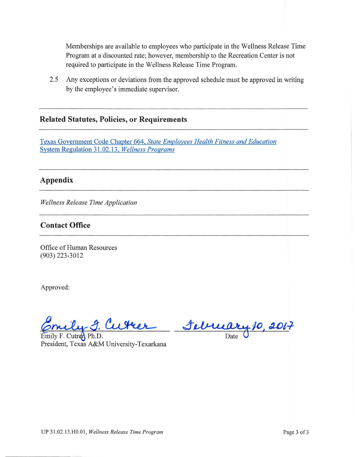Memberships are available to employees who participate in the Wellness Release Time Program at a discounted rate; however, membership to the Recreation Center is not required to participate in the Wellness Release Time Program.

2.5 Any exceptions or deviations from the approved schedule must be approved in writing by the employee's immediate supervisor.

### **Related Statutes, Policies, or Requirements**

Texas Government Code Chapter 664, *[State Employees Health Fitness and Education](http://www.statutes.legis.state.tx.us/Docs/GV/htm/GV.664.htm)*  [System Regulation 31.02.13,](http://policies.tamus.edu/31-02-13.pdf) *Wellness Programs* 

## **Appendix**

*Wellness Release Time Application* 

#### **Contact Office**

Office of Human Resources (903) 223-3012

Approved:

3. Cutter Selvuary 10, 2017

Emily F. Cutren Ph.D. President, Texas A&M University-Texarkana